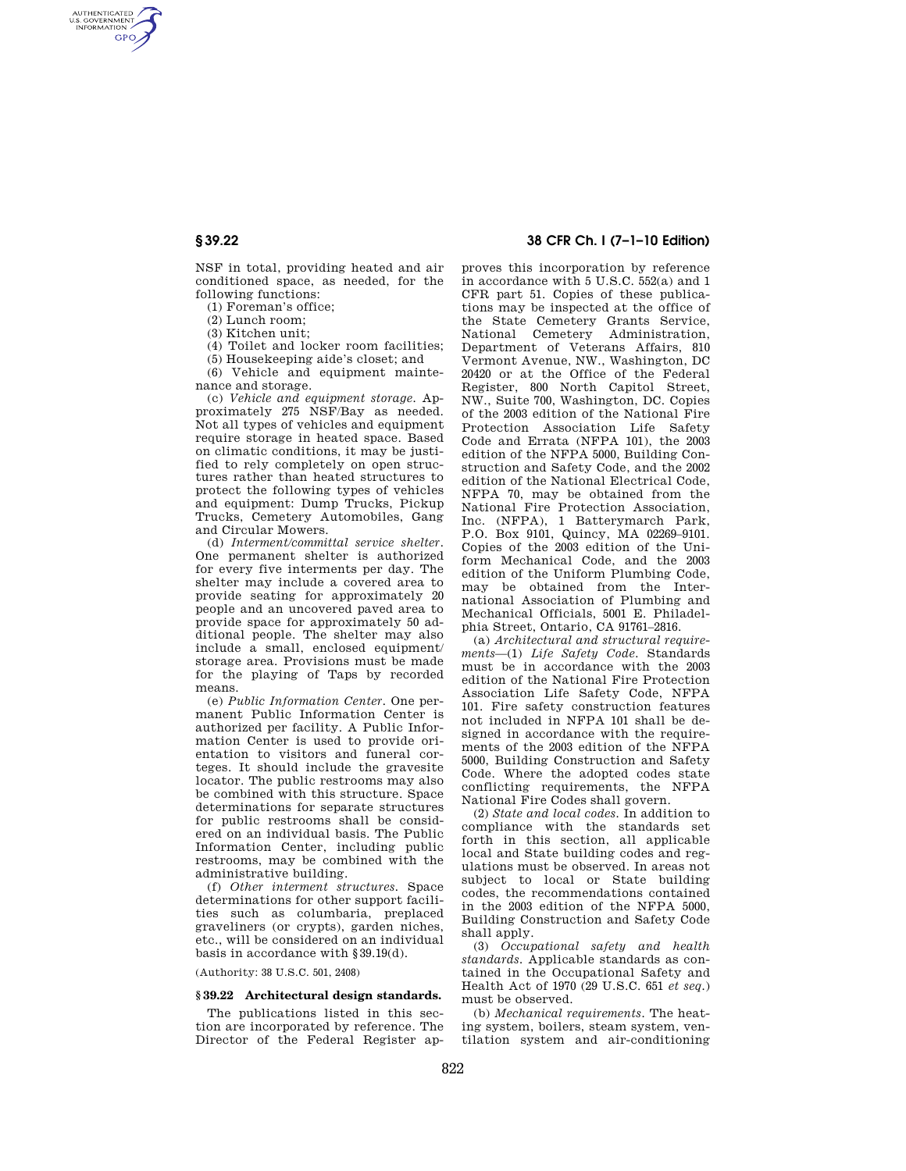AUTHENTICATED<br>U.S. GOVERNMENT<br>INFORMATION **GPO** 

> NSF in total, providing heated and air conditioned space, as needed, for the following functions:

(1) Foreman's office;

(2) Lunch room;

(3) Kitchen unit;

(4) Toilet and locker room facilities;

(5) Housekeeping aide's closet; and

(6) Vehicle and equipment maintenance and storage.

(c) *Vehicle and equipment storage.* Approximately 275 NSF/Bay as needed. Not all types of vehicles and equipment require storage in heated space. Based on climatic conditions, it may be justified to rely completely on open structures rather than heated structures to protect the following types of vehicles and equipment: Dump Trucks, Pickup Trucks, Cemetery Automobiles, Gang and Circular Mowers.

(d) *Interment/committal service shelter.*  One permanent shelter is authorized for every five interments per day. The shelter may include a covered area to provide seating for approximately 20 people and an uncovered paved area to provide space for approximately 50 additional people. The shelter may also include a small, enclosed equipment/ storage area. Provisions must be made for the playing of Taps by recorded means.

(e) *Public Information Center.* One permanent Public Information Center is authorized per facility. A Public Information Center is used to provide orientation to visitors and funeral corteges. It should include the gravesite locator. The public restrooms may also be combined with this structure. Space determinations for separate structures for public restrooms shall be considered on an individual basis. The Public Information Center, including public restrooms, may be combined with the administrative building.

(f) *Other interment structures.* Space determinations for other support facilities such as columbaria, preplaced graveliners (or crypts), garden niches, etc., will be considered on an individual basis in accordance with §39.19(d).

(Authority: 38 U.S.C. 501, 2408)

## **§ 39.22 Architectural design standards.**

The publications listed in this section are incorporated by reference. The Director of the Federal Register ap-

# **§ 39.22 38 CFR Ch. I (7–1–10 Edition)**

proves this incorporation by reference in accordance with 5 U.S.C. 552(a) and 1 CFR part 51. Copies of these publications may be inspected at the office of the State Cemetery Grants Service, National Cemetery Administration, Department of Veterans Affairs, 810 Vermont Avenue, NW., Washington, DC 20420 or at the Office of the Federal Register, 800 North Capitol Street, NW., Suite 700, Washington, DC. Copies of the 2003 edition of the National Fire Protection Association Life Safety Code and Errata (NFPA 101), the 2003 edition of the NFPA 5000, Building Construction and Safety Code, and the 2002 edition of the National Electrical Code, NFPA 70, may be obtained from the National Fire Protection Association, Inc. (NFPA), 1 Batterymarch Park, P.O. Box 9101, Quincy, MA 02269–9101. Copies of the 2003 edition of the Uniform Mechanical Code, and the 2003 edition of the Uniform Plumbing Code, may be obtained from the International Association of Plumbing and Mechanical Officials, 5001 E. Philadelphia Street, Ontario, CA 91761–2816.

(a) *Architectural and structural requirements*—(1) *Life Safety Code.* Standards must be in accordance with the 2003 edition of the National Fire Protection Association Life Safety Code, NFPA 101. Fire safety construction features not included in NFPA 101 shall be designed in accordance with the requirements of the 2003 edition of the NFPA 5000, Building Construction and Safety Code. Where the adopted codes state conflicting requirements, the NFPA National Fire Codes shall govern.

(2) *State and local codes.* In addition to compliance with the standards set forth in this section, all applicable local and State building codes and regulations must be observed. In areas not subject to local or State building codes, the recommendations contained in the 2003 edition of the NFPA 5000, Building Construction and Safety Code shall apply.

(3) *Occupational safety and health standards.* Applicable standards as contained in the Occupational Safety and Health Act of 1970 (29 U.S.C. 651 *et seq.*) must be observed.

(b) *Mechanical requirements.* The heating system, boilers, steam system, ventilation system and air-conditioning